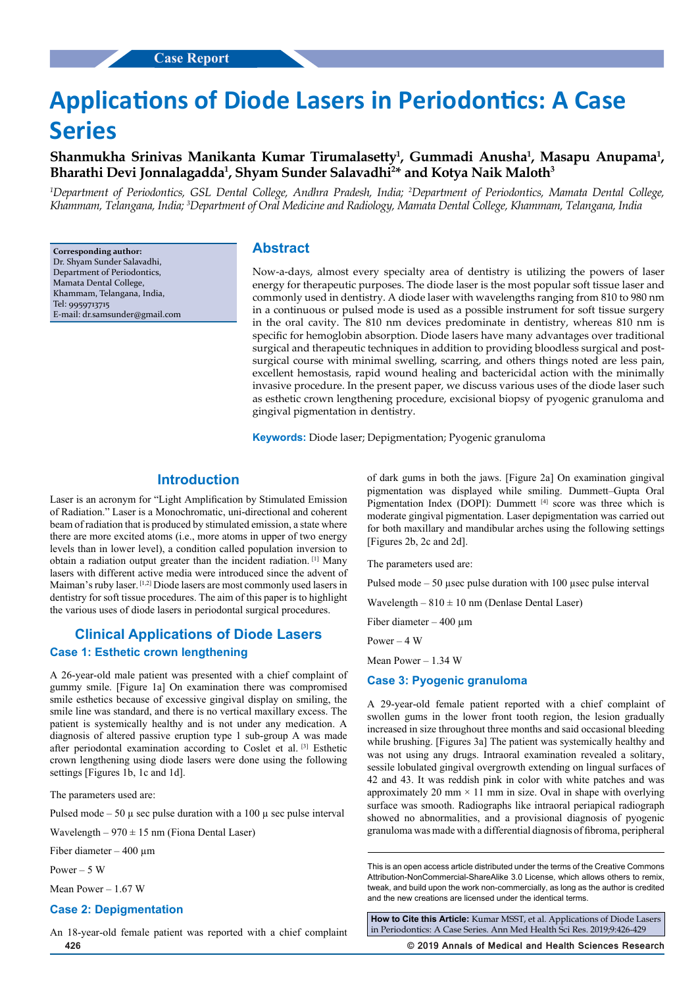# **Applications of Diode Lasers in Periodontics: A Case Series**

# Shanmukha Srinivas Manikanta Kumar Tirumalasetty<sup>1</sup>, Gummadi Anusha<sup>1</sup>, Masapu Anupama<sup>1</sup>, Bharathi Devi Jonnalagadda<sup>1</sup>, Shyam Sunder Salavadhi<sup>2</sup>\* and Kotya Naik Maloth<sup>3</sup>

<sup>1</sup>Department of Periodontics, GSL Dental College, Andhra Pradesh, India; <sup>2</sup>Department of Periodontics, Mamata Dental College, *Khammam, Telangana, India; 3 Department of Oral Medicine and Radiology, Mamata Dental College, Khammam, Telangana, India*

**Corresponding author:** Dr. Shyam Sunder Salavadhi, Department of Periodontics, Mamata Dental College, Khammam, Telangana, India, Tel: 9959713715 E-mail: dr.samsunder@gmail.com

# **Abstract**

Now-a-days, almost every specialty area of dentistry is utilizing the powers of laser energy for therapeutic purposes. The diode laser is the most popular soft tissue laser and commonly used in dentistry. A diode laser with wavelengths ranging from 810 to 980 nm in a continuous or pulsed mode is used as a possible instrument for soft tissue surgery in the oral cavity. The 810 nm devices predominate in dentistry, whereas 810 nm is specific for hemoglobin absorption. Diode lasers have many advantages over traditional surgical and therapeutic techniques in addition to providing bloodless surgical and postsurgical course with minimal swelling, scarring, and others things noted are less pain, excellent hemostasis, rapid wound healing and bactericidal action with the minimally invasive procedure. In the present paper, we discuss various uses of the diode laser such as esthetic crown lengthening procedure, excisional biopsy of pyogenic granuloma and gingival pigmentation in dentistry.

**Keywords:** Diode laser; Depigmentation; Pyogenic granuloma

# **Introduction**

Laser is an acronym for "Light Amplification by Stimulated Emission of Radiation." Laser is a Monochromatic, uni-directional and coherent beam of radiation that is produced by stimulated emission, a state where there are more excited atoms (i.e., more atoms in upper of two energy levels than in lower level), a condition called population inversion to obtain a radiation output greater than the incident radiation. [1] Many lasers with different active media were introduced since the advent of Maiman's ruby laser. [1,2] Diode lasers are most commonly used lasers in dentistry for soft tissue procedures. The aim of this paper is to highlight the various uses of diode lasers in periodontal surgical procedures.

# **Clinical Applications of Diode Lasers**

# **Case 1: Esthetic crown lengthening**

A 26-year-old male patient was presented with a chief complaint of gummy smile. [Figure 1a] On examination there was compromised smile esthetics because of excessive gingival display on smiling, the smile line was standard, and there is no vertical maxillary excess. The patient is systemically healthy and is not under any medication. A diagnosis of altered passive eruption type 1 sub-group A was made after periodontal examination according to Coslet et al. [3] Esthetic crown lengthening using diode lasers were done using the following settings [Figures 1b, 1c and 1d].

The parameters used are:

Pulsed mode – 50  $\mu$  sec pulse duration with a 100  $\mu$  sec pulse interval

Wavelength –  $970 \pm 15$  nm (Fiona Dental Laser)

Fiber diameter  $-400 \mu m$ 

 $P_{\text{OWer}} = 5 \text{ W}$ 

Mean Power – 1.67 W

# **Case 2: Depigmentation**

**426 © 2019 Annals of Medical and Health Sciences Research**  An 18-year-old female patient was reported with a chief complaint

of dark gums in both the jaws. [Figure 2a] On examination gingival pigmentation was displayed while smiling. Dummett–Gupta Oral Pigmentation Index (DOPI): Dummett [4] score was three which is moderate gingival pigmentation. Laser depigmentation was carried out for both maxillary and mandibular arches using the following settings [Figures 2b, 2c and 2d].

The parameters used are:

Pulsed mode  $-50$  µsec pulse duration with 100 µsec pulse interval

Wavelength  $-810 \pm 10$  nm (Denlase Dental Laser)

Fiber diameter  $-400 \mu m$ 

Power  $-4$  W

Mean Power – 1.34 W

#### **Case 3: Pyogenic granuloma**

A 29-year-old female patient reported with a chief complaint of swollen gums in the lower front tooth region, the lesion gradually increased in size throughout three months and said occasional bleeding while brushing. [Figures 3a] The patient was systemically healthy and was not using any drugs. Intraoral examination revealed a solitary, sessile lobulated gingival overgrowth extending on lingual surfaces of 42 and 43. It was reddish pink in color with white patches and was approximately 20 mm  $\times$  11 mm in size. Oval in shape with overlying surface was smooth. Radiographs like intraoral periapical radiograph showed no abnormalities, and a provisional diagnosis of pyogenic granuloma was made with a differential diagnosis of fibroma, peripheral

**How to Cite this Article:** Kumar MSST, et al. Applications of Diode Lasers in Periodontics: A Case Series. Ann Med Health Sci Res. 2019;9:426-429

This is an open access article distributed under the terms of the Creative Commons Attribution-NonCommercial-ShareAlike 3.0 License, which allows others to remix, tweak, and build upon the work non‑commercially, as long as the author is credited and the new creations are licensed under the identical terms.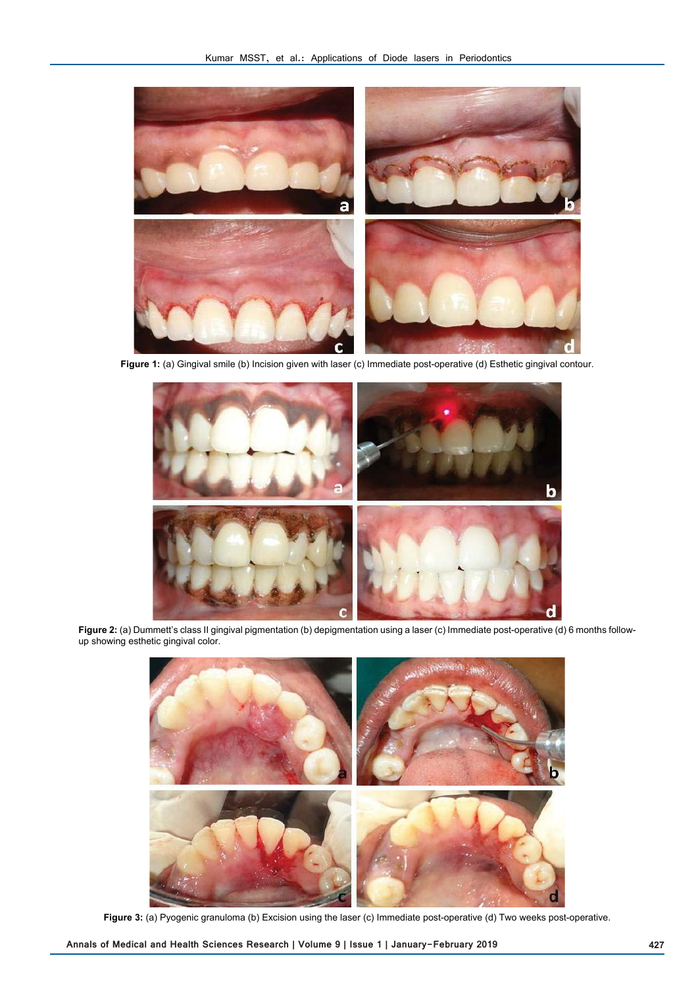

**Figure 1:** (a) Gingival smile (b) Incision given with laser (c) Immediate post-operative (d) Esthetic gingival contour.



Figure 2: (a) Dummett's class II gingival pigmentation (b) depigmentation using a laser (c) Immediate post-operative (d) 6 months followup showing esthetic gingival color.



**Figure 3:** (a) Pyogenic granuloma (b) Excision using the laser (c) Immediate post-operative (d) Two weeks post-operative.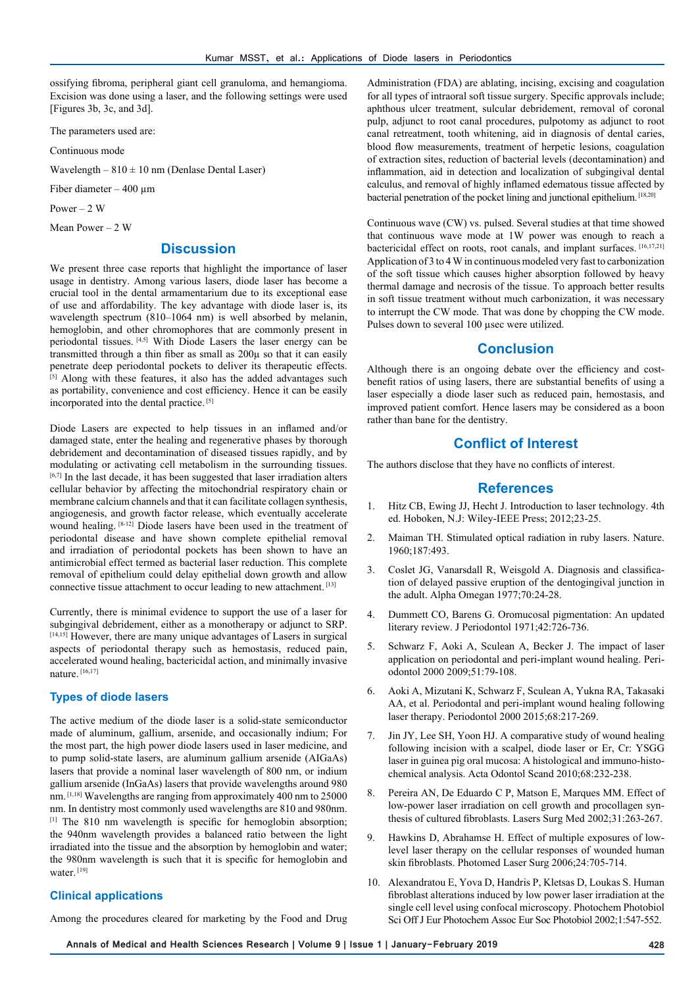ossifying fibroma, peripheral giant cell granuloma, and hemangioma. Excision was done using a laser, and the following settings were used [Figures 3b, 3c, and 3d].

The parameters used are:

Continuous mode

Wavelength –  $810 \pm 10$  nm (Denlase Dental Laser)

Fiber diameter  $-400 \mu m$ 

Power  $-2$  W

Mean Power – 2 W

# **Discussion**

We present three case reports that highlight the importance of laser usage in dentistry. Among various lasers, diode laser has become a crucial tool in the dental armamentarium due to its exceptional ease of use and affordability. The key advantage with diode laser is, its wavelength spectrum (810–1064 nm) is well absorbed by melanin, hemoglobin, and other chromophores that are commonly present in periodontal tissues. [4,5] With Diode Lasers the laser energy can be transmitted through a thin fiber as small as 200µ so that it can easily penetrate deep periodontal pockets to deliver its therapeutic effects. [5] Along with these features, it also has the added advantages such as portability, convenience and cost efficiency. Hence it can be easily incorporated into the dental practice. [5]

Diode Lasers are expected to help tissues in an inflamed and/or damaged state, enter the healing and regenerative phases by thorough debridement and decontamination of diseased tissues rapidly, and by modulating or activating cell metabolism in the surrounding tissues. [6,7] In the last decade, it has been suggested that laser irradiation alters cellular behavior by affecting the mitochondrial respiratory chain or membrane calcium channels and that it can facilitate collagen synthesis, angiogenesis, and growth factor release, which eventually accelerate wound healing. [8-12] Diode lasers have been used in the treatment of periodontal disease and have shown complete epithelial removal and irradiation of periodontal pockets has been shown to have an antimicrobial effect termed as bacterial laser reduction. This complete removal of epithelium could delay epithelial down growth and allow connective tissue attachment to occur leading to new attachment. [13]

Currently, there is minimal evidence to support the use of a laser for subgingival debridement, either as a monotherapy or adjunct to SRP. [14,15] However, there are many unique advantages of Lasers in surgical aspects of periodontal therapy such as hemostasis, reduced pain, accelerated wound healing, bactericidal action, and minimally invasive nature. [16,17]

# **Types of diode lasers**

The active medium of the diode laser is a solid-state semiconductor made of aluminum, gallium, arsenide, and occasionally indium; For the most part, the high power diode lasers used in laser medicine, and to pump solid-state lasers, are aluminum gallium arsenide (AIGaAs) lasers that provide a nominal laser wavelength of 800 nm, or indium gallium arsenide (InGaAs) lasers that provide wavelengths around 980 nm. [1,18] Wavelengths are ranging from approximately 400 nm to 25000 nm. In dentistry most commonly used wavelengths are 810 and 980nm. [1] The 810 nm wavelength is specific for hemoglobin absorption; the 940nm wavelength provides a balanced ratio between the light irradiated into the tissue and the absorption by hemoglobin and water; the 980nm wavelength is such that it is specific for hemoglobin and water.<sup>[19]</sup>

#### **Clinical applications**

Among the procedures cleared for marketing by the Food and Drug

Administration (FDA) are ablating, incising, excising and coagulation for all types of intraoral soft tissue surgery. Specific approvals include; aphthous ulcer treatment, sulcular debridement, removal of coronal pulp, adjunct to root canal procedures, pulpotomy as adjunct to root canal retreatment, tooth whitening, aid in diagnosis of dental caries, blood flow measurements, treatment of herpetic lesions, coagulation of extraction sites, reduction of bacterial levels (decontamination) and inflammation, aid in detection and localization of subgingival dental calculus, and removal of highly inflamed edematous tissue affected by bacterial penetration of the pocket lining and junctional epithelium. [18,20]

Continuous wave (CW) vs. pulsed. Several studies at that time showed that continuous wave mode at 1W power was enough to reach a bactericidal effect on roots, root canals, and implant surfaces. [16,17,21] Application of 3 to 4 W in continuous modeled very fast to carbonization of the soft tissue which causes higher absorption followed by heavy thermal damage and necrosis of the tissue. To approach better results in soft tissue treatment without much carbonization, it was necessary to interrupt the CW mode. That was done by chopping the CW mode. Pulses down to several 100 usec were utilized.

# **Conclusion**

Although there is an ongoing debate over the efficiency and costbenefit ratios of using lasers, there are substantial benefits of using a laser especially a diode laser such as reduced pain, hemostasis, and improved patient comfort. Hence lasers may be considered as a boon rather than bane for the dentistry.

# **Conflict of Interest**

The authors disclose that they have no conflicts of interest.

#### **References**

- 1. Hitz CB, Ewing JJ, Hecht J. Introduction to laser technology. 4th ed. Hoboken, N.J: Wiley-IEEE Press; 2012;23-25.
- 2. Maiman TH. Stimulated optical radiation in ruby lasers. Nature. 1960;187:493.
- 3. Coslet JG, Vanarsdall R, Weisgold A. Diagnosis and classification of delayed passive eruption of the dentogingival junction in the adult. Alpha Omegan 1977;70:24-28.
- 4. Dummett CO, Barens G. Oromucosal pigmentation: An updated literary review. J Periodontol 1971;42:726-736.
- 5. Schwarz F, Aoki A, Sculean A, Becker J. The impact of laser application on periodontal and peri-implant wound healing. Periodontol 2000 2009;51:79-108.
- 6. Aoki A, Mizutani K, Schwarz F, Sculean A, Yukna RA, Takasaki AA, et al. Periodontal and peri-implant wound healing following laser therapy. Periodontol 2000 2015;68:217-269.
- 7. Jin JY, Lee SH, Yoon HJ. A comparative study of wound healing following incision with a scalpel, diode laser or Er, Cr: YSGG laser in guinea pig oral mucosa: A histological and immuno-histochemical analysis. Acta Odontol Scand 2010;68:232-238.
- 8. Pereira AN, De Eduardo C P, Matson E, Marques MM. Effect of low-power laser irradiation on cell growth and procollagen synthesis of cultured fibroblasts. Lasers Surg Med 2002;31:263-267.
- 9. Hawkins D, Abrahamse H. Effect of multiple exposures of lowlevel laser therapy on the cellular responses of wounded human skin fibroblasts. Photomed Laser Surg 2006;24:705-714.
- 10. Alexandratou E, Yova D, Handris P, Kletsas D, Loukas S. Human fibroblast alterations induced by low power laser irradiation at the single cell level using confocal microscopy. Photochem Photobiol Sci Off J Eur Photochem Assoc Eur Soc Photobiol 2002;1:547-552.